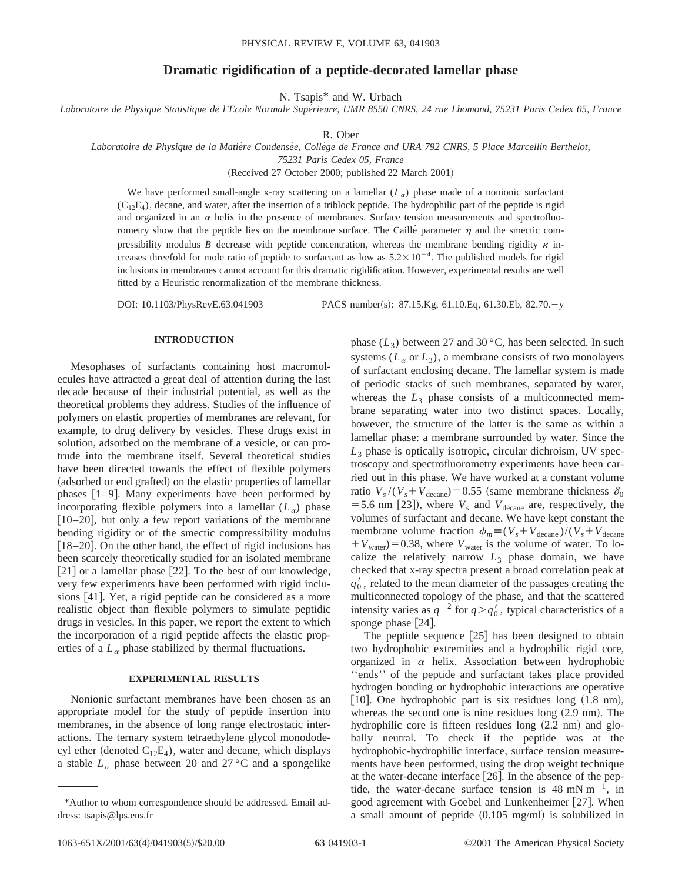# **Dramatic rigidification of a peptide-decorated lamellar phase**

N. Tsapis\* and W. Urbach

*Laboratoire de Physique Statistique de l'Ecole Normale Supe´rieure, UMR 8550 CNRS, 24 rue Lhomond, 75231 Paris Cedex 05, France*

R. Ober

Laboratoire de Physique de la Matière Condensée, Collège de France and URA 792 CNRS, 5 Place Marcellin Berthelot,

*75231 Paris Cedex 05, France*

(Received 27 October 2000; published 22 March 2001)

We have performed small-angle x-ray scattering on a lamellar  $(L_{\alpha})$  phase made of a nonionic surfactant  $(C_1, E_4)$ , decane, and water, after the insertion of a triblock peptide. The hydrophilic part of the peptide is rigid and organized in an  $\alpha$  helix in the presence of membranes. Surface tension measurements and spectrofluorometry show that the peptide lies on the membrane surface. The Caille´ parameter  $\eta$  and the smectic compressibility modulus  $\overline{B}$  decrease with peptide concentration, whereas the membrane bending rigidity  $\kappa$  increases threefold for mole ratio of peptide to surfactant as low as  $5.2 \times 10^{-4}$ . The published models for rigid inclusions in membranes cannot account for this dramatic rigidification. However, experimental results are well fitted by a Heuristic renormalization of the membrane thickness.

DOI: 10.1103/PhysRevE.63.041903 PACS number(s): 87.15.Kg, 61.10.Eq, 61.30.Eb, 82.70.-y

# **INTRODUCTION**

Mesophases of surfactants containing host macromolecules have attracted a great deal of attention during the last decade because of their industrial potential, as well as the theoretical problems they address. Studies of the influence of polymers on elastic properties of membranes are relevant, for example, to drug delivery by vesicles. These drugs exist in solution, adsorbed on the membrane of a vesicle, or can protrude into the membrane itself. Several theoretical studies have been directed towards the effect of flexible polymers (adsorbed or end grafted) on the elastic properties of lamellar phases  $[1-9]$ . Many experiments have been performed by incorporating flexible polymers into a lamellar  $(L_{\alpha})$  phase  $[10–20]$ , but only a few report variations of the membrane bending rigidity or of the smectic compressibility modulus  $[18–20]$ . On the other hand, the effect of rigid inclusions has been scarcely theoretically studied for an isolated membrane  $[21]$  or a lamellar phase  $[22]$ . To the best of our knowledge, very few experiments have been performed with rigid inclusions [41]. Yet, a rigid peptide can be considered as a more realistic object than flexible polymers to simulate peptidic drugs in vesicles. In this paper, we report the extent to which the incorporation of a rigid peptide affects the elastic properties of a  $L_{\alpha}$  phase stabilized by thermal fluctuations.

# **EXPERIMENTAL RESULTS**

Nonionic surfactant membranes have been chosen as an appropriate model for the study of peptide insertion into membranes, in the absence of long range electrostatic interactions. The ternary system tetraethylene glycol monododecyl ether (denoted  $C_{12}E_4$ ), water and decane, which displays a stable  $L_{\alpha}$  phase between 20 and 27 °C and a spongelike phase  $(L_3)$  between 27 and 30 °C, has been selected. In such systems  $(L_{\alpha}$  or  $L_3$ ), a membrane consists of two monolayers of surfactant enclosing decane. The lamellar system is made of periodic stacks of such membranes, separated by water, whereas the  $L_3$  phase consists of a multiconnected membrane separating water into two distinct spaces. Locally, however, the structure of the latter is the same as within a lamellar phase: a membrane surrounded by water. Since the  $L_3$  phase is optically isotropic, circular dichroism, UV spectroscopy and spectrofluorometry experiments have been carried out in this phase. We have worked at a constant volume ratio  $V_s/(V_s + V_{\text{decancel}}) = 0.55$  (same membrane thickness  $\delta_0$ = 5.6 nm [23]), where  $V_s$  and  $V_{\text{decancel}}$  are, respectively, the volumes of surfactant and decane. We have kept constant the membrane volume fraction  $\phi_m \equiv (V_s + V_{\text{decane}}) / (V_s + V_{\text{decane}})$  $V_{\text{water}}$ )=0.38, where  $V_{\text{water}}$  is the volume of water. To localize the relatively narrow  $L_3$  phase domain, we have checked that x-ray spectra present a broad correlation peak at  $q_0'$ , related to the mean diameter of the passages creating the multiconnected topology of the phase, and that the scattered intensity varies as  $q^{-2}$  for  $q > q'_0$ , typical characteristics of a sponge phase  $[24]$ .

The peptide sequence  $[25]$  has been designed to obtain two hydrophobic extremities and a hydrophilic rigid core, organized in  $\alpha$  helix. Association between hydrophobic ''ends'' of the peptide and surfactant takes place provided hydrogen bonding or hydrophobic interactions are operative [10]. One hydrophobic part is six residues long  $(1.8 \text{ nm})$ , whereas the second one is nine residues long  $(2.9 \text{ nm})$ . The hydrophilic core is fifteen residues long  $(2.2 \text{ nm})$  and globally neutral. To check if the peptide was at the hydrophobic-hydrophilic interface, surface tension measurements have been performed, using the drop weight technique at the water-decane interface [26]. In the absence of the peptide, the water-decane surface tension is  $48 \text{ mN m}^{-1}$ , in good agreement with Goebel and Lunkenheimer [27]. When a small amount of peptide  $(0.105 \text{ mg/ml})$  is solubilized in

<sup>\*</sup>Author to whom correspondence should be addressed. Email address: tsapis@lps.ens.fr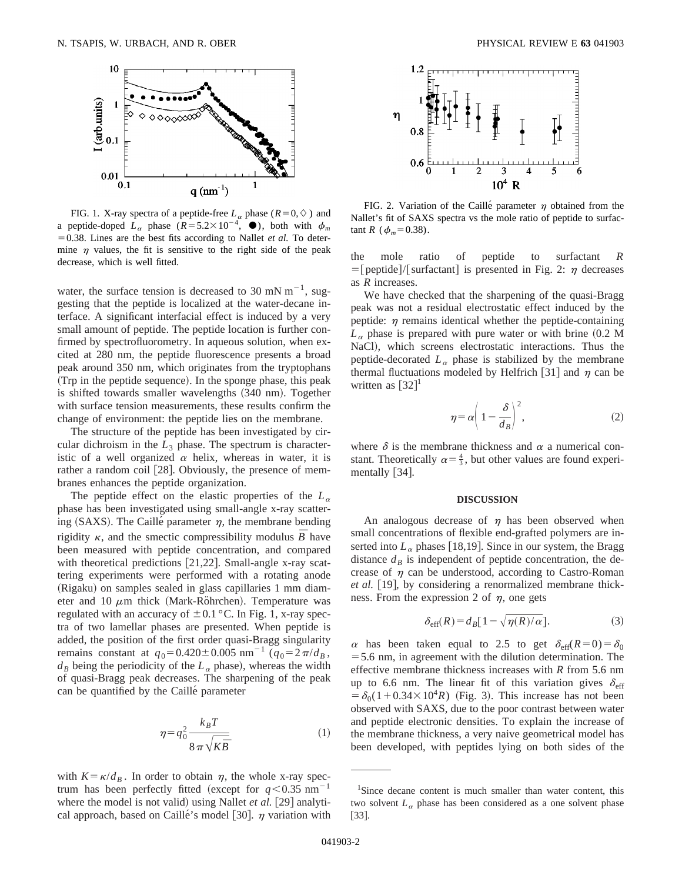

FIG. 1. X-ray spectra of a peptide-free  $L_{\alpha}$  phase ( $R=0,\diamond$ ) and a peptide-doped  $L_{\alpha}$  phase  $(R=5.2\times10^{-4}, \bullet)$ , both with  $\phi_m$  $=0.38$ . Lines are the best fits according to Nallet *et al*. To determine  $\eta$  values, the fit is sensitive to the right side of the peak decrease, which is well fitted.

water, the surface tension is decreased to 30 mN  $m^{-1}$ , suggesting that the peptide is localized at the water-decane interface. A significant interfacial effect is induced by a very small amount of peptide. The peptide location is further confirmed by spectrofluorometry. In aqueous solution, when excited at 280 nm, the peptide fluorescence presents a broad peak around 350 nm, which originates from the tryptophans (Trp in the peptide sequence). In the sponge phase, this peak is shifted towards smaller wavelengths  $(340 \text{ nm})$ . Together with surface tension measurements, these results confirm the change of environment: the peptide lies on the membrane.

The structure of the peptide has been investigated by circular dichroism in the  $L_3$  phase. The spectrum is characteristic of a well organized  $\alpha$  helix, whereas in water, it is rather a random coil  $[28]$ . Obviously, the presence of membranes enhances the peptide organization.

The peptide effect on the elastic properties of the  $L_{\alpha}$ phase has been investigated using small-angle x-ray scattering (SAXS). The Caille' parameter  $\eta$ , the membrane bending rigidity  $\kappa$ , and the smectic compressibility modulus  $\bar{B}$  have been measured with peptide concentration, and compared with theoretical predictions  $[21,22]$ . Small-angle x-ray scattering experiments were performed with a rotating anode (Rigaku) on samples sealed in glass capillaries 1 mm diameter and 10  $\mu$ m thick (Mark-Röhrchen). Temperature was regulated with an accuracy of  $\pm 0.1$  °C. In Fig. 1, x-ray spectra of two lamellar phases are presented. When peptide is added, the position of the first order quasi-Bragg singularity remains constant at  $q_0 = 0.420 \pm 0.005$  nm<sup>-1</sup> ( $q_0 = 2\pi/d_B$ ,  $d_B$  being the periodicity of the  $L_\alpha$  phase), whereas the width of quasi-Bragg peak decreases. The sharpening of the peak can be quantified by the Caillé parameter

$$
\eta = q_0^2 \frac{k_B T}{8 \pi \sqrt{K \bar{B}}} \tag{1}
$$

with  $K = \kappa / d_B$ . In order to obtain  $\eta$ , the whole x-ray spectrum has been perfectly fitted (except for  $q<0.35$  nm<sup>-1</sup> where the model is not valid) using Nallet *et al.* [29] analytical approach, based on Caillé's model [30].  $\eta$  variation with



FIG. 2. Variation of the Caillé parameter  $\eta$  obtained from the Nallet's fit of SAXS spectra vs the mole ratio of peptide to surfactant *R* ( $\phi_m$ =0.38).

the mole ratio of peptide to surfactant *R*  $=$ [peptide]/[surfactant] is presented in Fig. 2:  $\eta$  decreases as *R* increases.

We have checked that the sharpening of the quasi-Bragg peak was not a residual electrostatic effect induced by the peptide:  $\eta$  remains identical whether the peptide-containing  $L_{\alpha}$  phase is prepared with pure water or with brine  $(0.2 \text{ M})$ NaCl), which screens electrostatic interactions. Thus the peptide-decorated  $L_{\alpha}$  phase is stabilized by the membrane thermal fluctuations modeled by Helfrich [31] and  $\eta$  can be written as  $[32]$ <sup>1</sup>

$$
\eta = \alpha \left( 1 - \frac{\delta}{d_B} \right)^2,\tag{2}
$$

where  $\delta$  is the membrane thickness and  $\alpha$  a numerical constant. Theoretically  $\alpha = \frac{4}{3}$ , but other values are found experimentally  $[34]$ .

#### **DISCUSSION**

An analogous decrease of  $\eta$  has been observed when small concentrations of flexible end-grafted polymers are inserted into  $L_{\alpha}$  phases [18,19]. Since in our system, the Bragg distance  $d<sub>B</sub>$  is independent of peptide concentration, the decrease of  $\eta$  can be understood, according to Castro-Roman *et al.* [19], by considering a renormalized membrane thickness. From the expression 2 of  $\eta$ , one gets

$$
\delta_{\text{eff}}(R) = d_B [1 - \sqrt{\eta(R)/\alpha}]. \tag{3}
$$

 $\alpha$  has been taken equal to 2.5 to get  $\delta_{\text{eff}}(R=0) = \delta_0$  $=$  5.6 nm, in agreement with the dilution determination. The effective membrane thickness increases with *R* from 5.6 nm up to 6.6 nm. The linear fit of this variation gives  $\delta_{\text{eff}}$  $= \delta_0(1+0.34\times10^4 R)$  (Fig. 3). This increase has not been observed with SAXS, due to the poor contrast between water and peptide electronic densities. To explain the increase of the membrane thickness, a very naive geometrical model has been developed, with peptides lying on both sides of the

<sup>&</sup>lt;sup>1</sup>Since decane content is much smaller than water content, this two solvent  $L_{\alpha}$  phase has been considered as a one solvent phase  $[33]$ .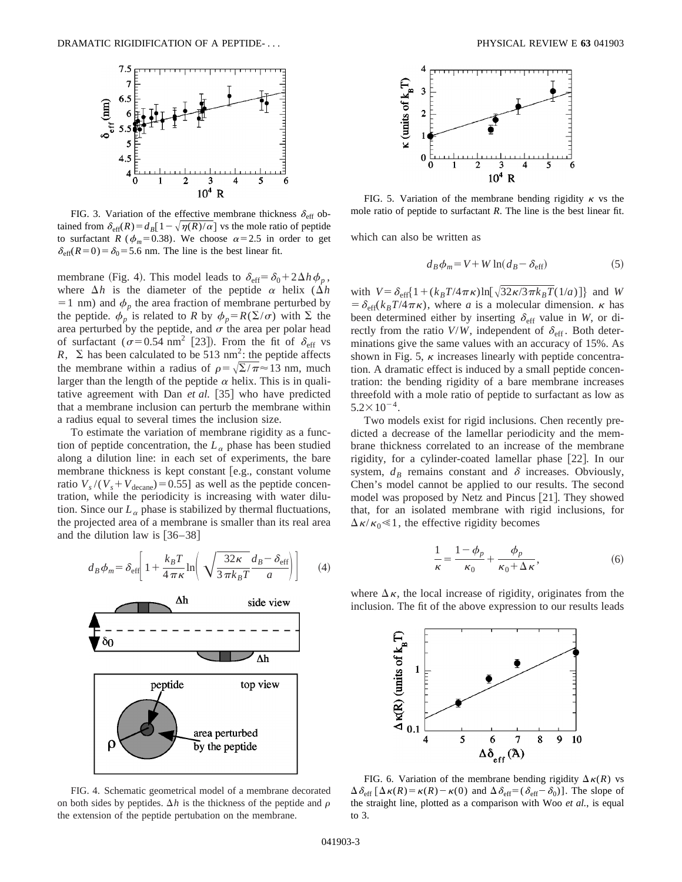

FIG. 3. Variation of the effective membrane thickness  $\delta_{\text{eff}}$  obtained from  $\delta_{\text{eff}}(R) = d_B[1-\sqrt{\eta(R)/\alpha}]$  vs the mole ratio of peptide to surfactant *R* ( $\phi_m$ =0.38). We choose  $\alpha$ =2.5 in order to get  $\delta_{\text{eff}}(R=0) = \delta_0 = 5.6$  nm. The line is the best linear fit.

membrane (Fig. 4). This model leads to  $\delta_{\text{eff}} = \delta_0 + 2\Delta h \phi_p$ , where  $\Delta h$  is the diameter of the peptide  $\alpha$  helix ( $\Delta h$  $=1$  nm) and  $\phi_p$  the area fraction of membrane perturbed by the peptide.  $\phi_p$  is related to *R* by  $\phi_p = R(\Sigma/\sigma)$  with  $\Sigma$  the area perturbed by the peptide, and  $\sigma$  the area per polar head of surfactant ( $\sigma$ =0.54 nm<sup>2</sup> [23]). From the fit of  $\delta_{\rm eff}$  vs *R*,  $\Sigma$  has been calculated to be 513 nm<sup>2</sup>: the peptide affects the membrane within a radius of  $\rho=\sqrt{\Sigma/\pi}\approx13$  nm, much larger than the length of the peptide  $\alpha$  helix. This is in qualitative agreement with Dan *et al.* [35] who have predicted that a membrane inclusion can perturb the membrane within a radius equal to several times the inclusion size.

To estimate the variation of membrane rigidity as a function of peptide concentration, the  $L_{\alpha}$  phase has been studied along a dilution line: in each set of experiments, the bare membrane thickness is kept constant [e.g., constant volume ratio  $V_s/(V_s + V_{\text{decancel}}) = 0.55$ ] as well as the peptide concentration, while the periodicity is increasing with water dilution. Since our  $L_{\alpha}$  phase is stabilized by thermal fluctuations, the projected area of a membrane is smaller than its real area and the dilution law is  $[36–38]$ 

$$
d_B \phi_m = \delta_{\text{eff}} \left[ 1 + \frac{k_B T}{4 \pi \kappa} \ln \left( \sqrt{\frac{32 \kappa}{3 \pi k_B T}} \frac{d_B - \delta_{\text{eff}}}{a} \right) \right]
$$
 (4)



FIG. 4. Schematic geometrical model of a membrane decorated on both sides by peptides.  $\Delta h$  is the thickness of the peptide and  $\rho$ the extension of the peptide pertubation on the membrane.



FIG. 5. Variation of the membrane bending rigidity  $\kappa$  vs the mole ratio of peptide to surfactant *R*. The line is the best linear fit.

which can also be written as

$$
d_B \phi_m = V + W \ln(d_B - \delta_{\text{eff}}) \tag{5}
$$

with  $V = \delta_{\text{eff}} \left\{ 1 + (k_B T/4\pi\kappa) \ln[\sqrt{32\kappa/3\pi k_B T(1/a)}] \right\}$  and *W*  $= \delta_{\text{eff}}(k_B T/4 \pi \kappa)$ , where *a* is a molecular dimension.  $\kappa$  has been determined either by inserting  $\delta_{\text{eff}}$  value in *W*, or directly from the ratio  $V/W$ , independent of  $\delta_{\text{eff}}$ . Both determinations give the same values with an accuracy of 15%. As shown in Fig. 5,  $\kappa$  increases linearly with peptide concentration. A dramatic effect is induced by a small peptide concentration: the bending rigidity of a bare membrane increases threefold with a mole ratio of peptide to surfactant as low as  $5.2 \times 10^{-4}$ .

Two models exist for rigid inclusions. Chen recently predicted a decrease of the lamellar periodicity and the membrane thickness correlated to an increase of the membrane rigidity, for a cylinder-coated lamellar phase [22]. In our system,  $d_B$  remains constant and  $\delta$  increases. Obviously, Chen's model cannot be applied to our results. The second model was proposed by Netz and Pincus [21]. They showed that, for an isolated membrane with rigid inclusions, for  $\Delta \kappa / \kappa_0 \ll 1$ , the effective rigidity becomes

$$
\frac{1}{\kappa} = \frac{1 - \phi_p}{\kappa_0} + \frac{\phi_p}{\kappa_0 + \Delta \kappa},\tag{6}
$$

where  $\Delta \kappa$ , the local increase of rigidity, originates from the inclusion. The fit of the above expression to our results leads



FIG. 6. Variation of the membrane bending rigidity  $\Delta \kappa(R)$  vs  $\Delta \delta_{\text{eff}} [\Delta \kappa(R) = \kappa(R) - \kappa(0)$  and  $\Delta \delta_{\text{eff}} = (\delta_{\text{eff}} - \delta_0)$ ]. The slope of the straight line, plotted as a comparison with Woo *et al.*, is equal to 3.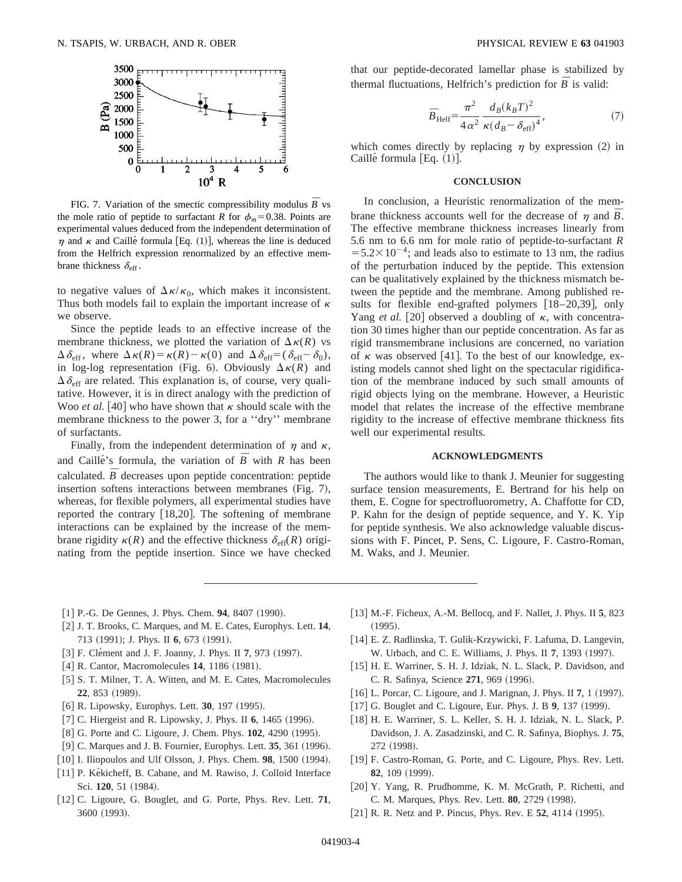

FIG. 7. Variation of the smectic compressibility modulus  $\bar{B}$  vs the mole ratio of peptide to surfactant *R* for  $\phi_m$ =0.38. Points are experimental values deduced from the independent determination of  $\eta$  and  $\kappa$  and Caille´ formula [Eq. (1)], whereas the line is deduced from the Helfrich expression renormalized by an effective membrane thickness  $\delta_{\text{eff}}$ .

to negative values of  $\Delta \kappa / \kappa_0$ , which makes it inconsistent. Thus both models fail to explain the important increase of  $\kappa$ we observe.

Since the peptide leads to an effective increase of the membrane thickness, we plotted the variation of  $\Delta \kappa(R)$  vs  $\Delta \delta_{\text{eff}}$ , where  $\Delta \kappa(R) = \kappa(R) - \kappa(0)$  and  $\Delta \delta_{\text{eff}} = (\delta_{\text{eff}} - \delta_0)$ , in log-log representation (Fig. 6). Obviously  $\Delta \kappa(R)$  and  $\Delta \delta_{\text{eff}}$  are related. This explanation is, of course, very qualitative. However, it is in direct analogy with the prediction of Woo *et al.* [40] who have shown that  $\kappa$  should scale with the membrane thickness to the power 3, for a ''dry'' membrane of surfactants.

Finally, from the independent determination of  $\eta$  and  $\kappa$ , and Caille's formula, the variation of  $\overline{B}$  with *R* has been calculated.  $\overline{B}$  decreases upon peptide concentration: peptide insertion softens interactions between membranes  $(Fig. 7)$ , whereas, for flexible polymers, all experimental studies have reported the contrary  $[18,20]$ . The softening of membrane interactions can be explained by the increase of the membrane rigidity  $\kappa(R)$  and the effective thickness  $\delta_{\text{eff}}(R)$  originating from the peptide insertion. Since we have checked that our peptide-decorated lamellar phase is stabilized by thermal fluctuations, Helfrich's prediction for  $\overline{B}$  is valid:

$$
\bar{B}_{\text{Helf}} = \frac{\pi^2}{4\alpha^2} \frac{d_B(k_B T)^2}{\kappa (d_B - \delta_{\text{eff}})^4},\tag{7}
$$

which comes directly by replacing  $\eta$  by expression (2) in Caillé formula  $[Eq. (1)].$ 

## **CONCLUSION**

In conclusion, a Heuristic renormalization of the membrane thickness accounts well for the decrease of  $\eta$  and  $\bar{B}$ . The effective membrane thickness increases linearly from 5.6 nm to 6.6 nm for mole ratio of peptide-to-surfactant *R*  $=5.2\times10^{-4}$ ; and leads also to estimate to 13 nm, the radius of the perturbation induced by the peptide. This extension can be qualitatively explained by the thickness mismatch between the peptide and the membrane. Among published results for flexible end-grafted polymers  $[18–20,39]$ , only Yang *et al.* [20] observed a doubling of  $\kappa$ , with concentration 30 times higher than our peptide concentration. As far as rigid transmembrane inclusions are concerned, no variation of  $\kappa$  was observed [41]. To the best of our knowledge, existing models cannot shed light on the spectacular rigidification of the membrane induced by such small amounts of rigid objects lying on the membrane. However, a Heuristic model that relates the increase of the effective membrane rigidity to the increase of effective membrane thickness fits well our experimental results.

### **ACKNOWLEDGMENTS**

The authors would like to thank J. Meunier for suggesting surface tension measurements, E. Bertrand for his help on them, E. Cogne for spectrofluorometry, A. Chaffotte for CD, P. Kahn for the design of peptide sequence, and Y. K. Yip for peptide synthesis. We also acknowledge valuable discussions with F. Pincet, P. Sens, C. Ligoure, F. Castro-Roman, M. Waks, and J. Meunier.

- $[1]$  P.-G. De Gennes, J. Phys. Chem. **94**, 8407  $(1990)$ .
- [2] J. T. Brooks, C. Marques, and M. E. Cates, Europhys. Lett. 14, 713 (1991); J. Phys. II **6**, 673 (1991).
- [3] F. Clément and J. F. Joanny, J. Phys. II 7, 973 (1997).
- [4] R. Cantor, Macromolecules **14**, 1186 (1981).
- [5] S. T. Milner, T. A. Witten, and M. E. Cates, Macromolecules **22**, 853 (1989).
- [6] R. Lipowsky, Europhys. Lett. **30**, 197 (1995).
- [7] C. Hiergeist and R. Lipowsky, J. Phys. II **6**, 1465 (1996).
- [8] G. Porte and C. Ligoure, J. Chem. Phys. **102**, 4290 (1995).
- [9] C. Marques and J. B. Fournier, Europhys. Lett. **35**, 361 (1996).
- [10] I. Iliopoulos and Ulf Olsson, J. Phys. Chem. **98**, 1500 (1994).
- [11] P. Kékicheff, B. Cabane, and M. Rawiso, J. Colloid Interface Sci. **120**, 51 (1984).
- [12] C. Ligoure, G. Bouglet, and G. Porte, Phys. Rev. Lett. **71**, 3600 (1993).
- @13# M.-F. Ficheux, A.-M. Bellocq, and F. Nallet, J. Phys. II **5**, 823  $(1995).$
- [14] E. Z. Radlinska, T. Gulik-Krzywicki, F. Lafuma, D. Langevin, W. Urbach, and C. E. Williams, J. Phys. II 7, 1393 (1997).
- [15] H. E. Warriner, S. H. J. Idziak, N. L. Slack, P. Davidson, and C. R. Safinya, Science 271, 969 (1996).
- [16] L. Porcar, C. Ligoure, and J. Marignan, J. Phys. II 7, 1 (1997).
- [17] G. Bouglet and C. Ligoure, Eur. Phys. J. B 9, 137 (1999).
- [18] H. E. Warriner, S. L. Keller, S. H. J. Idziak, N. L. Slack, P. Davidson, J. A. Zasadzinski, and C. R. Safinya, Biophys. J. **75**, 272 (1998).
- [19] F. Castro-Roman, G. Porte, and C. Ligoure, Phys. Rev. Lett. **82**, 109 (1999).
- [20] Y. Yang, R. Prudhomme, K. M. McGrath, P. Richetti, and C. M. Marques, Phys. Rev. Lett. **80**, 2729 (1998).
- [21] R. R. Netz and P. Pincus, Phys. Rev. E 52, 4114 (1995).